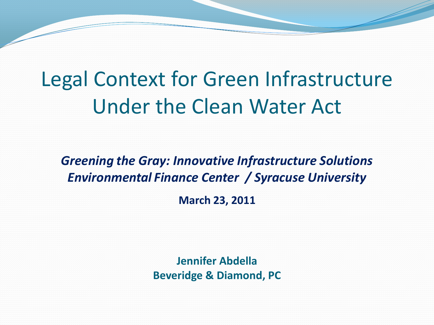# Legal Context for Green Infrastructure Under the Clean Water Act

*Greening the Gray: Innovative Infrastructure Solutions Environmental Finance Center / Syracuse University* 

**March 23, 2011**

**Jennifer Abdella Beveridge & Diamond, PC**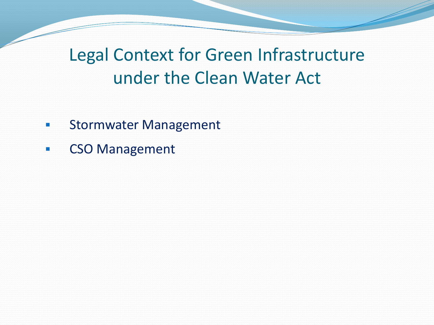## Legal Context for Green Infrastructure under the Clean Water Act

- **EXECUTE: Stormwater Management**
- **EXAMPLE CSO Management**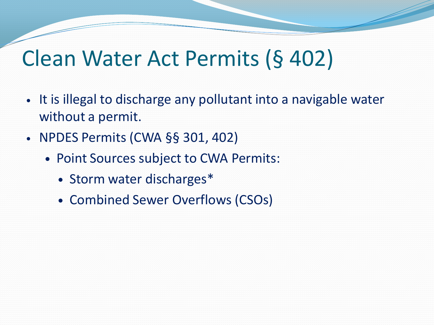# Clean Water Act Permits (§ 402)

- It is illegal to discharge any pollutant into a navigable water without a permit.
- NPDES Permits (CWA §§ 301, 402)
	- Point Sources subject to CWA Permits:
		- Storm water discharges\*
		- Combined Sewer Overflows (CSOs)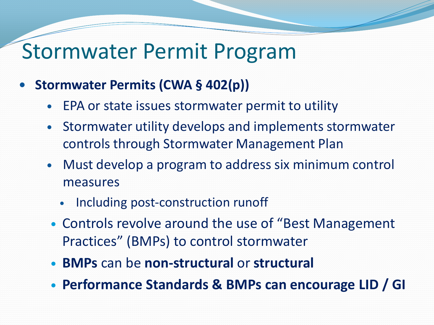## Stormwater Permit Program

- **Stormwater Permits (CWA § 402(p))** 
	- EPA or state issues stormwater permit to utility
	- Stormwater utility develops and implements stormwater controls through Stormwater Management Plan
	- Must develop a program to address six minimum control measures
		- Including post-construction runoff
	- Controls revolve around the use of "Best Management Practices" (BMPs) to control stormwater
	- **BMPs** can be **non-structural** or **structural**
	- **Performance Standards & BMPs can encourage LID / GI**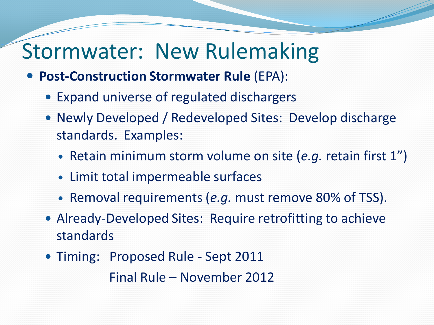# Stormwater: New Rulemaking

- **Post-Construction Stormwater Rule** (EPA):
	- Expand universe of regulated dischargers
	- Newly Developed / Redeveloped Sites: Develop discharge standards. Examples:
		- Retain minimum storm volume on site (*e.g.* retain first 1")
		- Limit total impermeable surfaces
		- Removal requirements (*e.g.* must remove 80% of TSS).
	- Already-Developed Sites: Require retrofitting to achieve standards
	- Timing: Proposed Rule Sept 2011

Final Rule – November 2012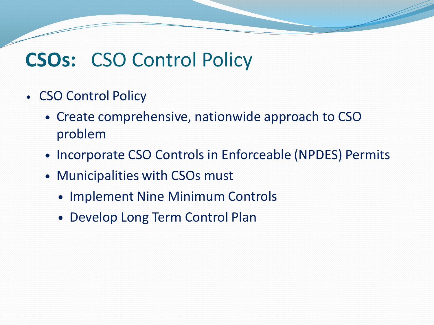## **CSOs:** CSO Control Policy

- CSO Control Policy
	- Create comprehensive, nationwide approach to CSO problem
	- Incorporate CSO Controls in Enforceable (NPDES) Permits
	- Municipalities with CSOs must
		- Implement Nine Minimum Controls
		- Develop Long Term Control Plan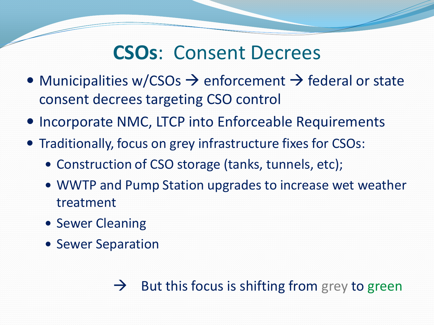## **CSOs**: Consent Decrees

- Municipalities w/CSOs  $\rightarrow$  enforcement  $\rightarrow$  federal or state consent decrees targeting CSO control
- Incorporate NMC, LTCP into Enforceable Requirements
- Traditionally, focus on grey infrastructure fixes for CSOs:
	- Construction of CSO storage (tanks, tunnels, etc);
	- WWTP and Pump Station upgrades to increase wet weather treatment
	- Sewer Cleaning
	- Sewer Separation

#### $\rightarrow$  But this focus is shifting from grey to green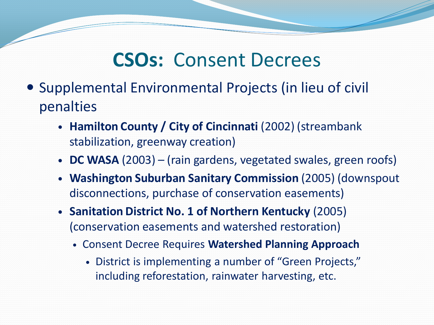## **CSOs:** Consent Decrees

- Supplemental Environmental Projects (in lieu of civil penalties
	- **Hamilton County / City of Cincinnati** (2002) (streambank stabilization, greenway creation)
	- **DC WASA** (2003) (rain gardens, vegetated swales, green roofs)
	- **Washington Suburban Sanitary Commission** (2005) (downspout disconnections, purchase of conservation easements)
	- **Sanitation District No. 1 of Northern Kentucky** (2005) (conservation easements and watershed restoration)
		- Consent Decree Requires **Watershed Planning Approach**
			- District is implementing a number of "Green Projects," including reforestation, rainwater harvesting, etc.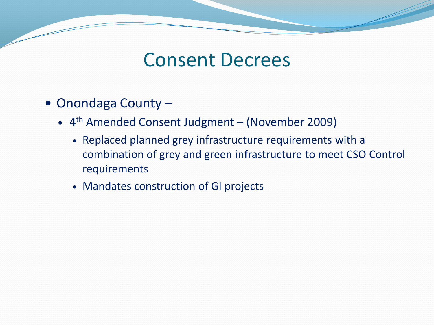### Consent Decrees

- Onondaga County -
	- 4 th Amended Consent Judgment (November 2009)
		- Replaced planned grey infrastructure requirements with a combination of grey and green infrastructure to meet CSO Control requirements
		- Mandates construction of GI projects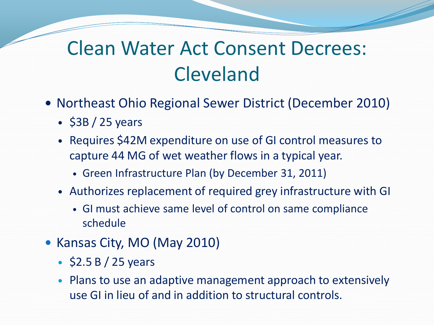## Clean Water Act Consent Decrees: Cleveland

- Northeast Ohio Regional Sewer District (December 2010)
	- $\cdot$  \$3B / 25 years
	- Requires \$42M expenditure on use of GI control measures to capture 44 MG of wet weather flows in a typical year.
		- Green Infrastructure Plan (by December 31, 2011)
	- Authorizes replacement of required grey infrastructure with GI
		- GI must achieve same level of control on same compliance schedule
- Kansas City, MO (May 2010)
	- $\cdot$  \$2.5 B / 25 years
	- Plans to use an adaptive management approach to extensively use GI in lieu of and in addition to structural controls.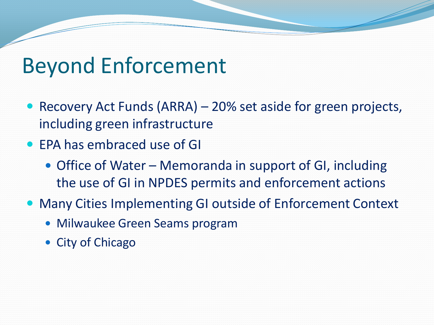# Beyond Enforcement

- Recovery Act Funds (ARRA) 20% set aside for green projects, including green infrastructure
- EPA has embraced use of GI
	- Office of Water Memoranda in support of GI, including the use of GI in NPDES permits and enforcement actions
- Many Cities Implementing GI outside of Enforcement Context
	- Milwaukee Green Seams program
	- City of Chicago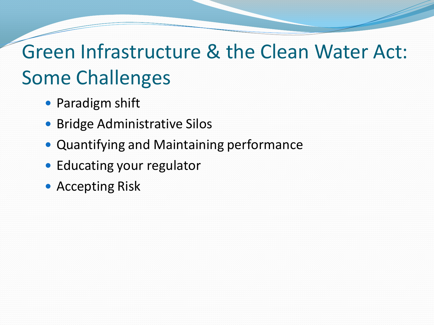# Green Infrastructure & the Clean Water Act: Some Challenges

- Paradigm shift
- Bridge Administrative Silos
- Quantifying and Maintaining performance
- Educating your regulator
- Accepting Risk